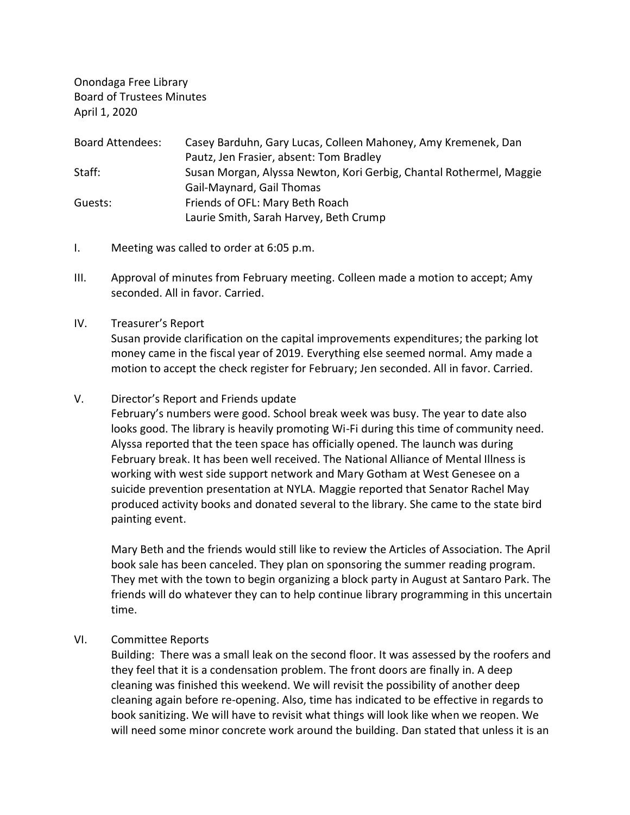Onondaga Free Library Board of Trustees Minutes April 1, 2020

| <b>Board Attendees:</b> | Casey Barduhn, Gary Lucas, Colleen Mahoney, Amy Kremenek, Dan       |
|-------------------------|---------------------------------------------------------------------|
|                         | Pautz, Jen Frasier, absent: Tom Bradley                             |
| Staff:                  | Susan Morgan, Alyssa Newton, Kori Gerbig, Chantal Rothermel, Maggie |
|                         | Gail-Maynard, Gail Thomas                                           |
| Guests:                 | Friends of OFL: Mary Beth Roach                                     |
|                         | Laurie Smith, Sarah Harvey, Beth Crump                              |

- I. Meeting was called to order at 6:05 p.m.
- III. Approval of minutes from February meeting. Colleen made a motion to accept; Amy seconded. All in favor. Carried.
- IV. Treasurer's Report

Susan provide clarification on the capital improvements expenditures; the parking lot money came in the fiscal year of 2019. Everything else seemed normal. Amy made a motion to accept the check register for February; Jen seconded. All in favor. Carried.

## V. Director's Report and Friends update

February's numbers were good. School break week was busy. The year to date also looks good. The library is heavily promoting Wi-Fi during this time of community need. Alyssa reported that the teen space has officially opened. The launch was during February break. It has been well received. The National Alliance of Mental Illness is working with west side support network and Mary Gotham at West Genesee on a suicide prevention presentation at NYLA. Maggie reported that Senator Rachel May produced activity books and donated several to the library. She came to the state bird painting event.

Mary Beth and the friends would still like to review the Articles of Association. The April book sale has been canceled. They plan on sponsoring the summer reading program. They met with the town to begin organizing a block party in August at Santaro Park. The friends will do whatever they can to help continue library programming in this uncertain time.

VI. Committee Reports

Building: There was a small leak on the second floor. It was assessed by the roofers and they feel that it is a condensation problem. The front doors are finally in. A deep cleaning was finished this weekend. We will revisit the possibility of another deep cleaning again before re-opening. Also, time has indicated to be effective in regards to book sanitizing. We will have to revisit what things will look like when we reopen. We will need some minor concrete work around the building. Dan stated that unless it is an